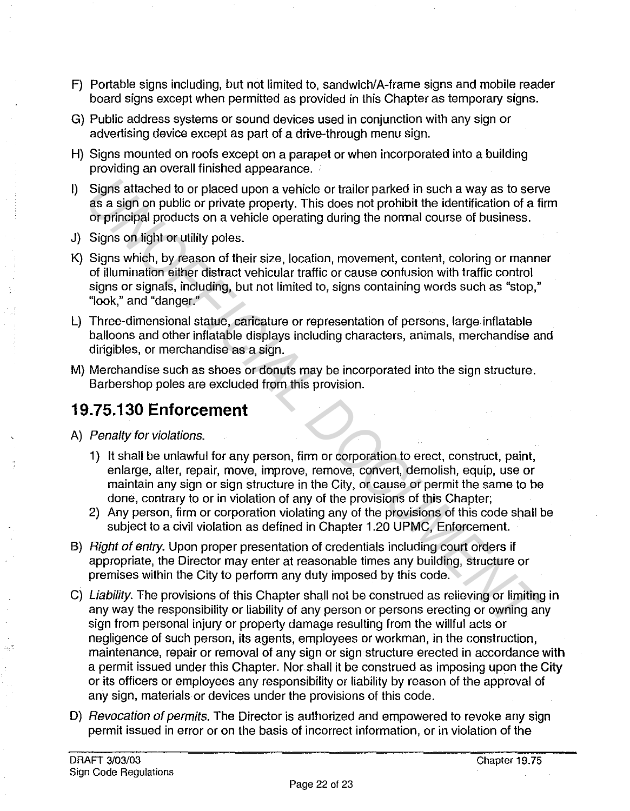- F) Portable signs including, but not limited to, sandwich/A-frame signs and mobile reader board signs except when permitted as provided in this Chapter as temporary signs.
- G) Public address systems or sound devices used in conjunction with any sign or advertising device except as part of a drive-through menu sign.
- H) Signs mounted on roofs except on a parapet or when incorporated into a building providing an overall finished appearance.
- I) Signs attached to or placed upon a vehicle or trailer parked in such a way as to serve as a sign on public or private property. This does not prohibit the identification of a firm or principal products on a vehicle operating during the normal course of business.
- J) Signs on light or utility poles.
- K) Signs which, by reason of their size, location, movement, content, coloring or manner of illumination either distract vehicular traffic or cause confusion with traffic control signs or signals, including, but not limited to, signs containing words such as "stop," "look," and "danger." Signs attached to or placed upon a vehicle or trailer parked in such a way as to serve as a sign on public or private property. This does not probibit the identification of a fiver or principal products on a vehicle operat
- L) Three-dimensional statue, caricature or representation of persons, large inflatable balloons and other inflatable displays including characters, animals, merchandise and dirigibles, or merchandise as a sign.
- M) Merchandise such as shoes or donuts may be incorporated into the sign structure. Barbershop poles are excluded from this provision.

## **19.75.130 Enforcement**

A) Penalty for violations.

- 1) It shall be unlawful for any person, firm or corporation to erect, construct, paint, enlarge, alter, repair, move, improve, remove, convert, demolish, equip, use or maintain any sign or sign structure in the City, or cause or permit the same to be done, contrary to or in violation of any of the provisions of this Chapter;
- 2) Any person, firm or corporation violating any of the provisions of this code shall be subject to a civil violation as defined in Chapter 1.20 UPMC, Enforcement.
- B) Right of entry. Upon proper presentation of credentials including court orders if appropriate, the Director may enter at reasonable times any building, structure or premises within the City to perform any duty imposed by this code.
- C) Liability. The provisions of this Chapter shall not be construed as relieving or limiting in any way the responsibility or liability of any person or persons erecting or owning any sign from personal injury or property damage resulting from the willful acts or negligence of such person, its agents, employees or workman, in the construction, maintenance, repair or removal of any sign or sign structure erected in accordance with a permit issued under this Chapter. Nor shall it be construed as imposing upon the City or its officers or employees any responsibility or liability by reason of the approval of any sign, materials or devices under the provisions of this code.
- D) Revocation of permits. The Director is authorized and empowered to revoke any sign permit issued in error or on the basis of incorrect information, or in violation of the